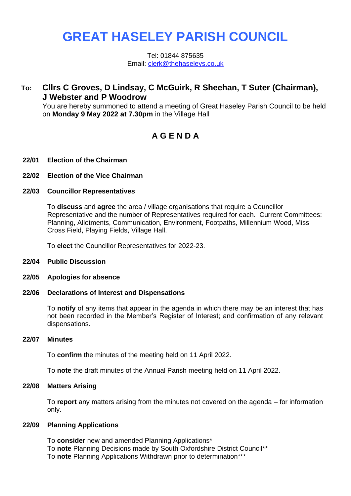# **GREAT HASELEY PARISH COUNCIL**

Tel: 01844 875635 Email: [clerk@thehaseleys.co.uk](mailto:clerk@thehaseleys.co.uk)

# **To: Cllrs C Groves, D Lindsay, C McGuirk, R Sheehan, T Suter (Chairman), J Webster and P Woodrow**

You are hereby summoned to attend a meeting of Great Haseley Parish Council to be held on **Monday 9 May 2022 at 7.30pm** in the Village Hall

# **A G E N D A**

# **22/01 Election of the Chairman**

**22/02 Election of the Vice Chairman**

#### **22/03 Councillor Representatives**

To **discuss** and **agree** the area / village organisations that require a Councillor Representative and the number of Representatives required for each. Current Committees: Planning, Allotments, Communication, Environment, Footpaths, Millennium Wood, Miss Cross Field, Playing Fields, Village Hall.

To **elect** the Councillor Representatives for 2022-23.

- **22/04 Public Discussion**
- **22/05 Apologies for absence**

#### **22/06 Declarations of Interest and Dispensations**

To **notify** of any items that appear in the agenda in which there may be an interest that has not been recorded in the Member's Register of Interest; and confirmation of any relevant dispensations.

#### **22/07 Minutes**

To **confirm** the minutes of the meeting held on 11 April 2022.

To **note** the draft minutes of the Annual Parish meeting held on 11 April 2022.

# **22/08 Matters Arising**

To **report** any matters arising from the minutes not covered on the agenda – for information only.

# **22/09 Planning Applications**

To **consider** new and amended Planning Applications\* To **note** Planning Decisions made by South Oxfordshire District Council\*\* To **note** Planning Applications Withdrawn prior to determination\*\*\*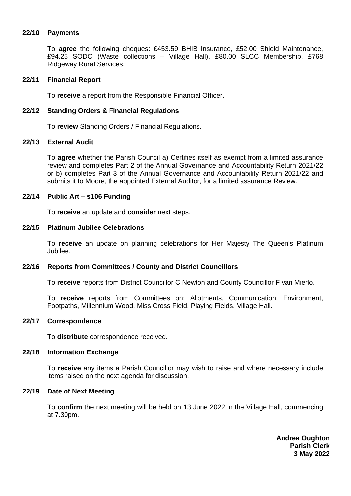# **22/10 Payments**

To **agree** the following cheques: £453.59 BHIB Insurance, £52.00 Shield Maintenance, £94.25 SODC (Waste collections – Village Hall), £80.00 SLCC Membership, £768 Ridgeway Rural Services.

#### **22/11 Financial Report**

To **receive** a report from the Responsible Financial Officer.

### **22/12 Standing Orders & Financial Regulations**

To **review** Standing Orders / Financial Regulations.

#### **22/13 External Audit**

To **agree** whether the Parish Council a) Certifies itself as exempt from a limited assurance review and completes Part 2 of the Annual Governance and Accountability Return 2021/22 or b) completes Part 3 of the Annual Governance and Accountability Return 2021/22 and submits it to Moore, the appointed External Auditor, for a limited assurance Review.

# **22/14 Public Art – s106 Funding**

To **receive** an update and **consider** next steps.

#### **22/15 Platinum Jubilee Celebrations**

To **receive** an update on planning celebrations for Her Majesty The Queen's Platinum Jubilee.

# **22/16 Reports from Committees / County and District Councillors**

To **receive** reports from District Councillor C Newton and County Councillor F van Mierlo.

To **receive** reports from Committees on: Allotments, Communication, Environment, Footpaths, Millennium Wood, Miss Cross Field, Playing Fields, Village Hall.

#### **22/17 Correspondence**

To **distribute** correspondence received.

#### **22/18 Information Exchange**

To **receive** any items a Parish Councillor may wish to raise and where necessary include items raised on the next agenda for discussion.

#### **22/19 Date of Next Meeting**

To **confirm** the next meeting will be held on 13 June 2022 in the Village Hall, commencing at 7.30pm.

> **Andrea Oughton Parish Clerk 3 May 2022**